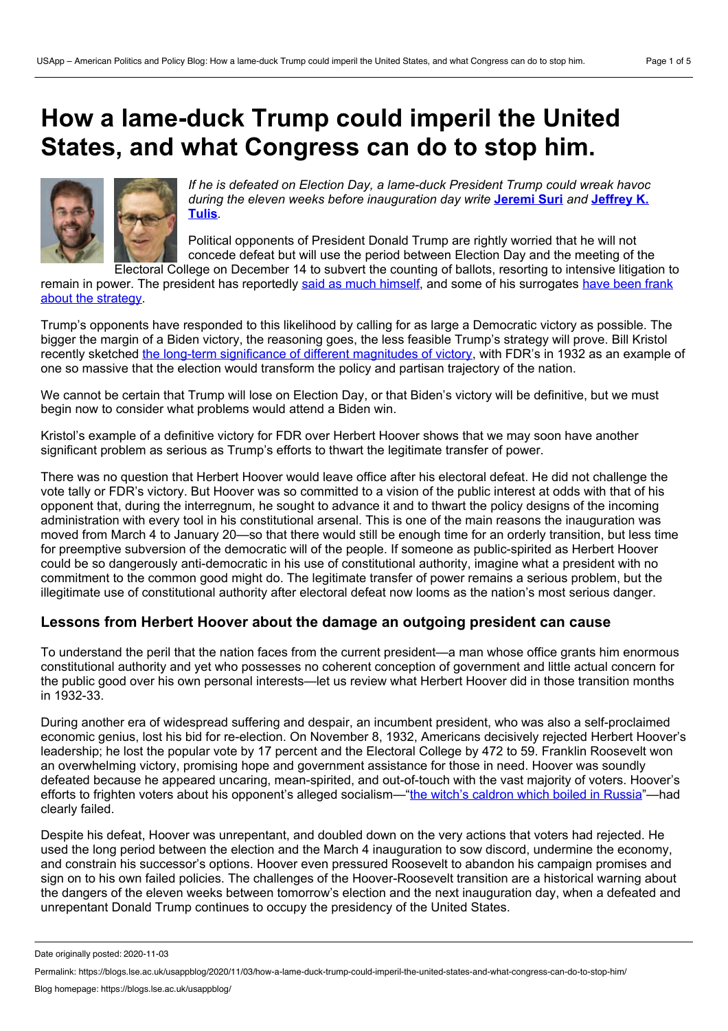# **How a lame-duck Trump could imperil the United States, and what Congress can do to stop him.**



*If he is defeated on Election Day, a lame-duck President Trump could wreak havoc during the eleven weeks before [inauguration](https://wp.me/p3I2YF-aud#Author) day write* **[Jeremi](https://wp.me/p3I2YF-aud#Author) Suri** *and* **Jeffrey K. Tulis***.*

Political opponents of President Donald Trump are rightly worried that he will not concede defeat but will use the period between Election Day and the meeting of the Electoral College on December 14 to subvert the counting of ballots, resorting to intensive litigation to

remain in power. The president has reportedly said as much [himself,](https://www.axios.com/trump-claim-election-victory-ballots-97eb12b9-5e35-402f-9ea3-0ccfb47f613f.html) and some of his [surrogates](https://twitter.com/therecount/status/1322926474882621441) have been frank about the strategy.

Trump's opponents have responded to this likelihood by calling for as large a Democratic victory as possible. The bigger the margin of a Biden victory, the reasoning goes, the less feasible Trump's strategy will prove. Bill Kristol recently sketched the long-term [significance](https://thebulwark.com/a-tale-of-three-possible-outcomes/) of different magnitudes of victory, with FDR's in 1932 as an example of one so massive that the election would transform the policy and partisan trajectory of the nation.

We cannot be certain that Trump will lose on Election Day, or that Biden's victory will be definitive, but we must begin now to consider what problems would attend a Biden win.

Kristol's example of a definitive victory for FDR over Herbert Hoover shows that we may soon have another significant problem as serious as Trump's efforts to thwart the legitimate transfer of power.

There was no question that Herbert Hoover would leave office after his electoral defeat. He did not challenge the vote tally or FDR's victory. But Hoover was so committed to a vision of the public interest at odds with that of his opponent that, during the interregnum, he sought to advance it and to thwart the policy designs of the incoming administration with every tool in his constitutional arsenal. This is one of the main reasons the inauguration was moved from March 4 to January 20—so that there would still be enough time for an orderly transition, but less time for preemptive subversion of the democratic will of the people. If someone as public-spirited as Herbert Hoover could be so dangerously anti-democratic in his use of constitutional authority, imagine what a president with no commitment to the common good might do. The legitimate transfer of power remains a serious problem, but the illegitimate use of constitutional authority after electoral defeat now looms as the nation's most serious danger.

## **Lessons from Herbert Hoover about the damage an outgoing president can cause**

To understand the peril that the nation faces from the current president—a man whose office grants him enormous constitutional authority and yet who possesses no coherent conception of government and little actual concern for the public good over his own personal interests—let us review what Herbert Hoover did in those transition months in 1932-33.

During another era of widespread suffering and despair, an incumbent president, who was also a self-proclaimed economic genius, lost his bid for re-election. On November 8, 1932, Americans decisively rejected Herbert Hoover's leadership; he lost the popular vote by 17 percent and the Electoral College by 472 to 59. Franklin Roosevelt won an overwhelming victory, promising hope and government assistance for those in need. Hoover was soundly defeated because he appeared uncaring, mean-spirited, and out-of-touch with the vast majority of voters. Hoover's efforts to frighten voters about his opponent's alleged socialism—"the witch's [caldron](https://books.google.com/books?id=pKt5IbAFSeUC&lpg=PA750&ots=nvzBFthFuE&dq=%2522the%20witch%25E2%2580%2599s%20caldron%20which%20boiled%20in%20Russia%2522&pg=PA750#v=onepage&q=%2522the%20witch%25E2%2580%2599s%20caldron%20which%20boiled%20in%20Russia%2522&f=false) which boiled in Russia"—had clearly failed.

Despite his defeat, Hoover was unrepentant, and doubled down on the very actions that voters had rejected. He used the long period between the election and the March 4 inauguration to sow discord, undermine the economy, and constrain his successor's options. Hoover even pressured Roosevelt to abandon his campaign promises and sign on to his own failed policies. The challenges of the Hoover-Roosevelt transition are a historical warning about the dangers of the eleven weeks between tomorrow's election and the next inauguration day, when a defeated and unrepentant Donald Trump continues to occupy the presidency of the United States.

Date originally posted: 2020-11-03

Permalink: https://blogs.lse.ac.uk/usappblog/2020/11/03/how-a-lame-duck-trump-could-imperil-the-united-states-and-what-congress-can-do-to-stop-him/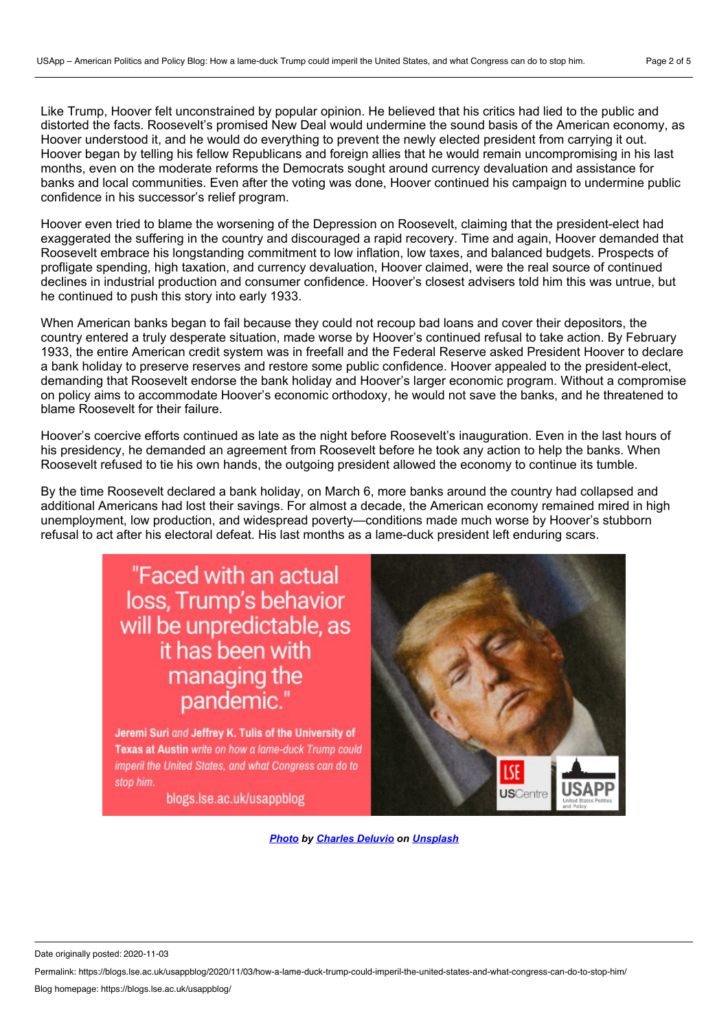Like Trump, Hoover felt unconstrained by popular opinion. He believed that his critics had lied to the public and distorted the facts. Roosevelt's promised New Deal would undermine the sound basis of the American economy, as Hoover understood it, and he would do everything to prevent the newly elected president from carrying it out. Hoover began by telling his fellow Republicans and foreign allies that he would remain uncompromising in his last months, even on the moderate reforms the Democrats sought around currency devaluation and assistance for banks and local communities. Even after the voting was done, Hoover continued his campaign to undermine public confidence in his successor's relief program.

Hoover even tried to blame the worsening of the Depression on Roosevelt, claiming that the president-elect had exaggerated the suffering in the country and discouraged a rapid recovery. Time and again, Hoover demanded that Roosevelt embrace his longstanding commitment to low inflation, low taxes, and balanced budgets. Prospects of profligate spending, high taxation, and currency devaluation, Hoover claimed, were the real source of continued declines in industrial production and consumer confidence. Hoover's closest advisers told him this was untrue, but he continued to push this story into early 1933.

When American banks began to fail because they could not recoup bad loans and cover their depositors, the country entered a truly desperate situation, made worse by Hoover's continued refusal to take action. By February 1933, the entire American credit system was in freefall and the Federal Reserve asked President Hoover to declare a bank holiday to preserve reserves and restore some public confidence. Hoover appealed to the president-elect, demanding that Roosevelt endorse the bank holiday and Hoover's larger economic program. Without a compromise on policy aims to accommodate Hoover's economic orthodoxy, he would not save the banks, and he threatened to blame Roosevelt for their failure.

Hoover's coercive efforts continued as late as the night before Roosevelt's inauguration. Even in the last hours of his presidency, he demanded an agreement from Roosevelt before he took any action to help the banks. When Roosevelt refused to tie his own hands, the outgoing president allowed the economy to continue its tumble.

By the time Roosevelt declared a bank holiday, on March 6, more banks around the country had collapsed and additional Americans had lost their savings. For almost a decade, the American economy remained mired in high unemployment, low production, and widespread poverty—conditions made much worse by Hoover's stubborn refusal to act after his electoral defeat. His last months as a lame-duck president left enduring scars.

# "Faced with an actual loss, Trump's behavior will be unpredictable, as it has been with managing the pandemic."

Jeremi Suri and Jeffrey K. Tulis of the University of Texas at Austin write on how a lame-duck Trump could imperil the United States, and what Congress can do to stop him.

blogs.lse.ac.uk/usappblog



*[Photo](https://unsplash.com/photos/rynR1JQzEIY) by [Charles](https://unsplash.com/@charlesdeluvio?utm_source=unsplash&utm_medium=referral&utm_content=creditCopyText) Deluvio on [Unsplash](https://unsplash.com/?utm_source=unsplash&utm_medium=referral&utm_content=creditCopyText)*

Date originally posted: 2020-11-03

Permalink: https://blogs.lse.ac.uk/usappblog/2020/11/03/how-a-lame-duck-trump-could-imperil-the-united-states-and-what-congress-can-do-to-stop-him/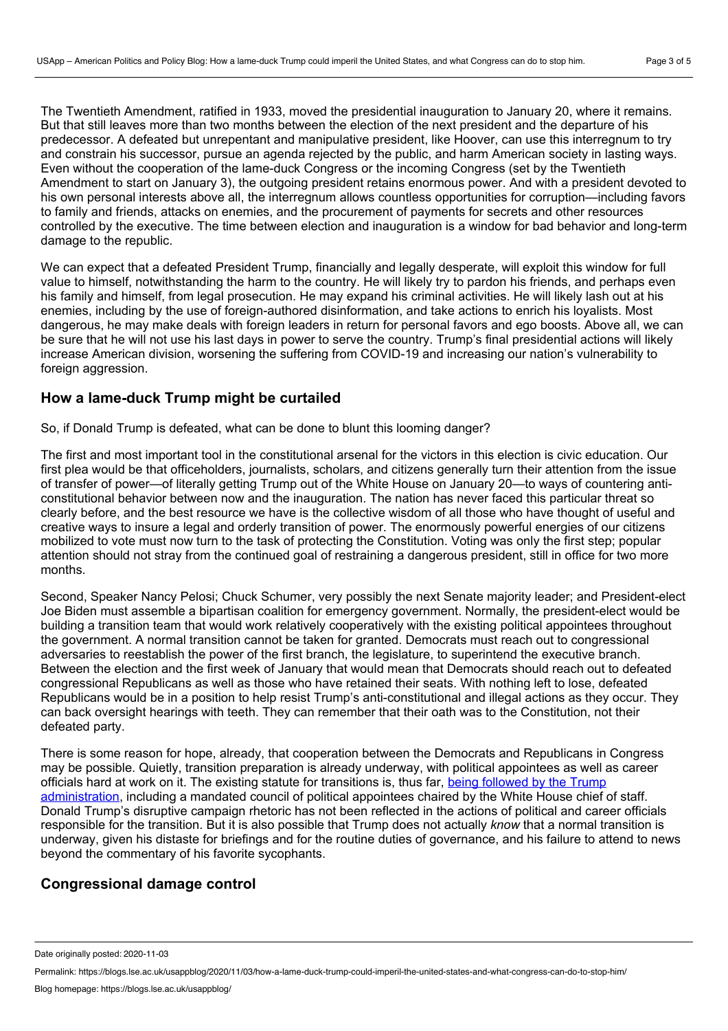The Twentieth Amendment, ratified in 1933, moved the presidential inauguration to January 20, where it remains. But that still leaves more than two months between the election of the next president and the departure of his predecessor. A defeated but unrepentant and manipulative president, like Hoover, can use this interregnum to try and constrain his successor, pursue an agenda rejected by the public, and harm American society in lasting ways. Even without the cooperation of the lame-duck Congress or the incoming Congress (set by the Twentieth Amendment to start on January 3), the outgoing president retains enormous power. And with a president devoted to his own personal interests above all, the interregnum allows countless opportunities for corruption—including favors to family and friends, attacks on enemies, and the procurement of payments for secrets and other resources controlled by the executive. The time between election and inauguration is a window for bad behavior and long-term damage to the republic.

We can expect that a defeated President Trump, financially and legally desperate, will exploit this window for full value to himself, notwithstanding the harm to the country. He will likely try to pardon his friends, and perhaps even his family and himself, from legal prosecution. He may expand his criminal activities. He will likely lash out at his enemies, including by the use of foreign-authored disinformation, and take actions to enrich his loyalists. Most dangerous, he may make deals with foreign leaders in return for personal favors and ego boosts. Above all, we can be sure that he will not use his last days in power to serve the country. Trump's final presidential actions will likely increase American division, worsening the suffering from COVID-19 and increasing our nation's vulnerability to foreign aggression.

#### **How a lame-duck Trump might be curtailed**

So, if Donald Trump is defeated, what can be done to blunt this looming danger?

The first and most important tool in the constitutional arsenal for the victors in this election is civic education. Our first plea would be that officeholders, journalists, scholars, and citizens generally turn their attention from the issue of transfer of power—of literally getting Trump out of the White House on January 20—to ways of countering anti constitutional behavior between now and the inauguration. The nation has never faced this particular threat so clearly before, and the best resource we have is the collective wisdom of all those who have thought of useful and creative ways to insure a legal and orderly transition of power. The enormously powerful energies of our citizens mobilized to vote must now turn to the task of protecting the Constitution. Voting was only the first step; popular attention should not stray from the continued goal of restraining a dangerous president, still in office for two more months.

Second, Speaker Nancy Pelosi; Chuck Schumer, very possibly the next Senate majority leader; and President-elect Joe Biden must assemble a bipartisan coalition for emergency government. Normally, the president-elect would be building a transition team that would work relatively cooperatively with the existing political appointees throughout the government. A normal transition cannot be taken for granted. Democrats must reach out to congressional adversaries to reestablish the power of the first branch, the legislature, to superintend the executive branch. Between the election and the first week of January that would mean that Democrats should reach out to defeated congressional Republicans as well as those who have retained their seats. With nothing left to lose, defeated Republicans would be in a position to help resist Trump's anti-constitutional and illegal actions as they occur. They can back oversight hearings with teeth. They can remember that their oath was to the Constitution, not their defeated party.

There is some reason for hope, already, that cooperation between the Democrats and Republicans in Congress may be possible. Quietly, transition preparation is already underway, with political appointees as well as career officials hard at work on it. The existing statute for transitions is, thus far, being followed by the Trump [administration,](https://www.theatlantic.com/ideas/archive/2020/10/trump-cant-single-handedly-wreck-transition/616876/) including a mandated council of political appointees chaired by the White House chief of staff. Donald Trump's disruptive campaign rhetoric has not been reflected in the actions of political and career officials responsible for the transition. But it is also possible that Trump does not actually *know* that a normal transition is underway, given his distaste for briefings and for the routine duties of governance, and his failure to attend to news beyond the commentary of his favorite sycophants.

## **Congressional damage control**

Date originally posted: 2020-11-03

Permalink: https://blogs.lse.ac.uk/usappblog/2020/11/03/how-a-lame-duck-trump-could-imperil-the-united-states-and-what-congress-can-do-to-stop-him/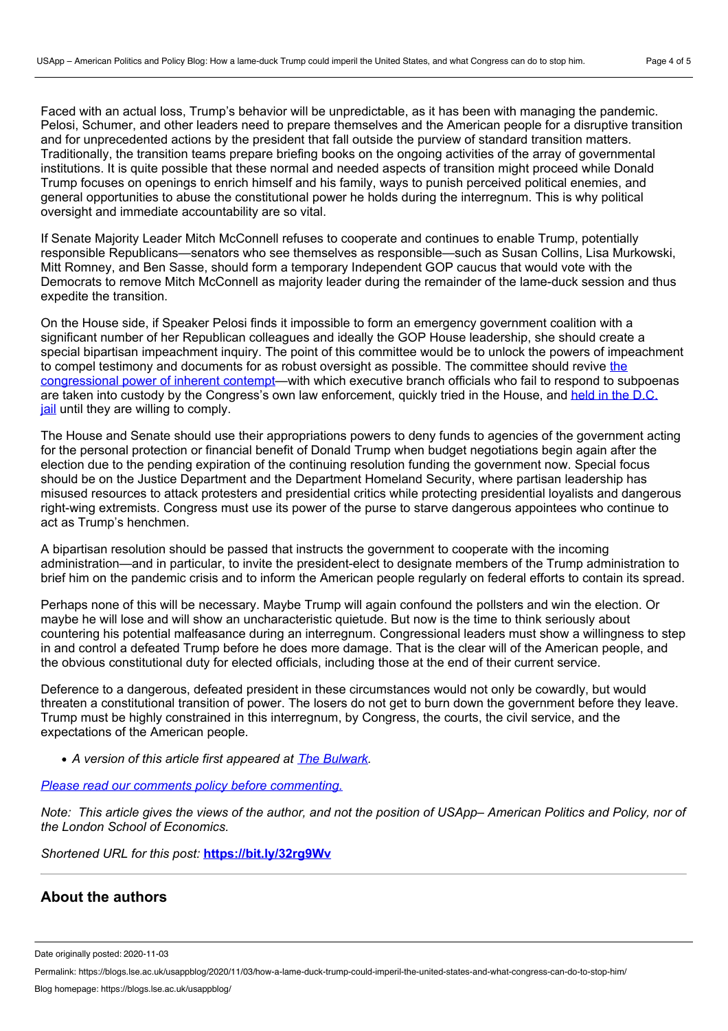Faced with an actual loss, Trump's behavior will be unpredictable, as it has been with managing the pandemic. Pelosi, Schumer, and other leaders need to prepare themselves and the American people for a disruptive transition and for unprecedented actions by the president that fall outside the purview of standard transition matters. Traditionally, the transition teams prepare briefing books on the ongoing activities of the array of governmental institutions. It is quite possible that these normal and needed aspects of transition might proceed while Donald Trump focuses on openings to enrich himself and his family, ways to punish perceived political enemies, and general opportunities to abuse the constitutional power he holds during the interregnum. This is why political oversight and immediate accountability are so vital.

If Senate Majority Leader Mitch McConnell refuses to cooperate and continues to enable Trump, potentially responsible Republicans—senators who see themselves as responsible—such as Susan Collins, Lisa Murkowski, Mitt Romney, and Ben Sasse, should form a temporary Independent GOP caucus that would vote with the Democrats to remove Mitch McConnell as majority leader during the remainder of the lame-duck session and thus expedite the transition.

On the House side, if Speaker Pelosi finds it impossible to form an emergency government coalition with a significant number of her Republican colleagues and ideally the GOP House leadership, she should create a special bipartisan impeachment inquiry. The point of this committee would be to unlock the powers of impeachment to compel testimony and documents for as robust oversight as possible. The committee should revive the congressional power of inherent [contempt—with](https://crsreports.congress.gov/product/pdf/R/R45653/3) which executive branch officials who fail to respond to subpoenas are taken into custody by the Congress's own law [enforcement,](https://www.washingtonpost.com/politics/2019/09/23/inherent-contempt-how-house-democrats-could-fine-or-even-jail-trump-officials-who-refuse-cooperate/) quickly tried in the House, and held in the D.C. jail until they are willing to comply.

The House and Senate should use their appropriations powers to deny funds to agencies of the government acting for the personal protection or financial benefit of Donald Trump when budget negotiations begin again after the election due to the pending expiration of the continuing resolution funding the government now. Special focus should be on the Justice Department and the Department Homeland Security, where partisan leadership has misused resources to attack protesters and presidential critics while protecting presidential loyalists and dangerous right-wing extremists. Congress must use its power of the purse to starve dangerous appointees who continue to act as Trump's henchmen.

A bipartisan resolution should be passed that instructs the government to cooperate with the incoming administration—and in particular, to invite the president-elect to designate members of the Trump administration to brief him on the pandemic crisis and to inform the American people regularly on federal efforts to contain its spread.

Perhaps none of this will be necessary. Maybe Trump will again confound the pollsters and win the election. Or maybe he will lose and will show an uncharacteristic quietude. But now is the time to think seriously about countering his potential malfeasance during an interregnum. Congressional leaders must show a willingness to step in and control a defeated Trump before he does more damage. That is the clear will of the American people, and the obvious constitutional duty for elected officials, including those at the end of their current service.

Deference to a dangerous, defeated president in these circumstances would not only be cowardly, but would threaten a constitutional transition of power. The losers do not get to burn down the government before they leave. Trump must be highly constrained in this interregnum, by Congress, the courts, the civil service, and the expectations of the American people.

*A version of this article first appeared at The [Bulwark.](https://thebulwark.com/the-dangerous-interregnum/)*

#### *Please read our comments policy before [commenting.](http://blogs.lse.ac.uk/usappblog/comments-policy/)*

Note: This article gives the views of the author, and not the position of USApp– American Politics and Policy, nor of *the London School of Economics.*

*Shortened URL for this post:* **<https://bit.ly/32rg9Wv>**

#### **About the authors**

Date originally posted: 2020-11-03

Permalink: https://blogs.lse.ac.uk/usappblog/2020/11/03/how-a-lame-duck-trump-could-imperil-the-united-states-and-what-congress-can-do-to-stop-him/